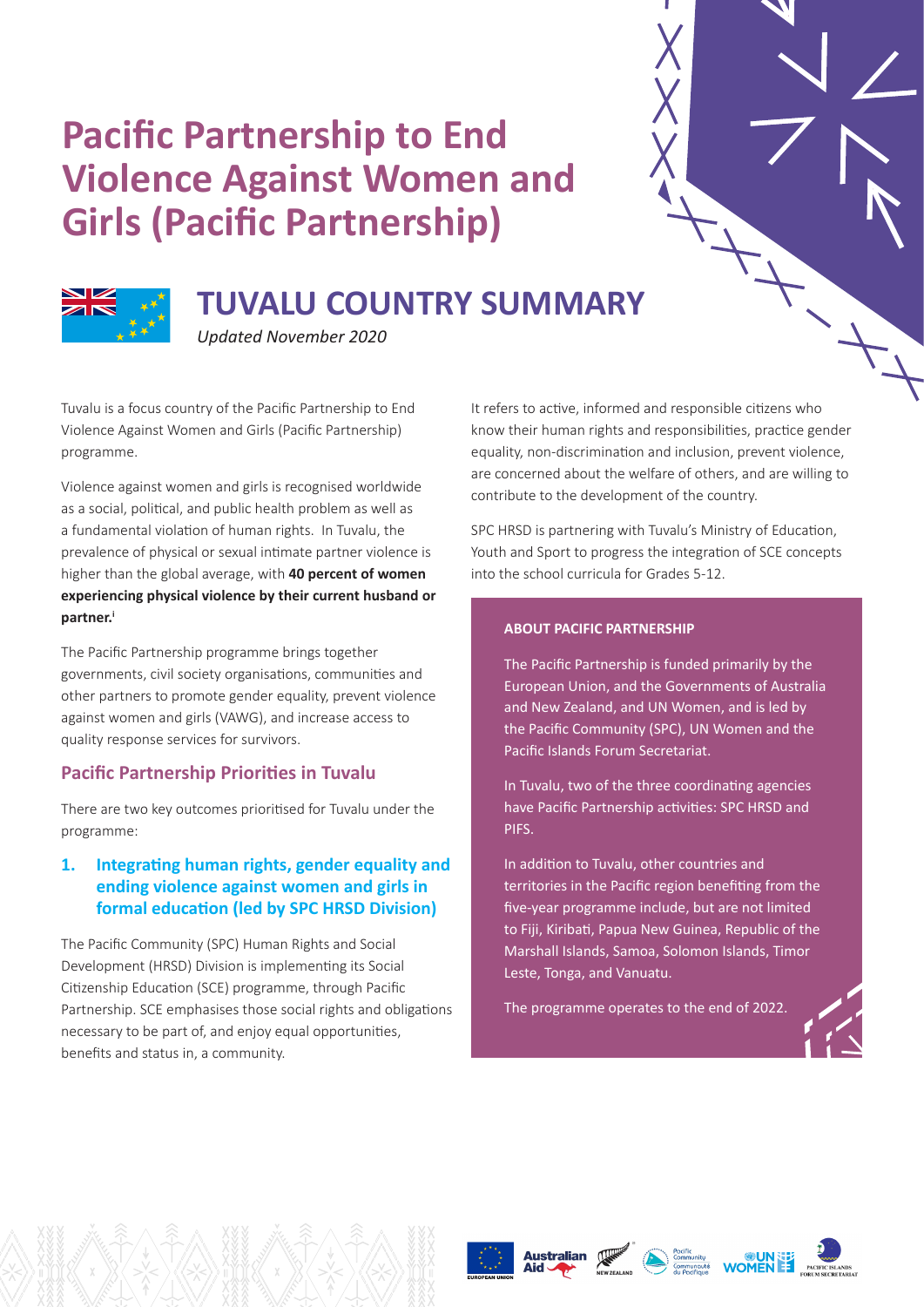# **Pacific Partnership to End Violence Against Women and Girls (Pacific Partnership)**



# **TUVALU COUNTRY SUMMARY**

*Updated November 2020*

Tuvalu is a focus country of the Pacific Partnership to End Violence Against Women and Girls (Pacific Partnership) programme.

Violence against women and girls is recognised worldwide as a social, political, and public health problem as well as a fundamental violation of human rights. In Tuvalu, the prevalence of physical or sexual intimate partner violence is higher than the global average, with **40 percent of women experiencing physical violence by their current husband or partner.i**

The Pacific Partnership programme brings together governments, civil society organisations, communities and other partners to promote gender equality, prevent violence against women and girls (VAWG), and increase access to quality response services for survivors.

## **Pacific Partnership Priorities in Tuvalu**

There are two key outcomes prioritised for Tuvalu under the programme:

### **1. Integrating human rights, gender equality and ending violence against women and girls in formal education (led by SPC HRSD Division)**

The Pacific Community (SPC) Human Rights and Social Development (HRSD) Division is implementing its Social Citizenship Education (SCE) programme, through Pacific Partnership. SCE emphasises those social rights and obligations necessary to be part of, and enjoy equal opportunities, benefits and status in, a community.

It refers to active, informed and responsible citizens who know their human rights and responsibilities, practice gender equality, non-discrimination and inclusion, prevent violence, are concerned about the welfare of others, and are willing to contribute to the development of the country.

SPC HRSD is partnering with Tuvalu's Ministry of Education, Youth and Sport to progress the integration of SCE concepts into the school curricula for Grades 5-12.

#### **ABOUT PACIFIC PARTNERSHIP**

The Pacific Partnership is funded primarily by the European Union, and the Governments of Australia and New Zealand, and UN Women, and is led by the Pacific Community (SPC), UN Women and the Pacific Islands Forum Secretariat.

In Tuvalu, two of the three coordinating agencies have Pacific Partnership activities: SPC HRSD and PIFS.

In addition to Tuvalu, other countries and territories in the Pacific region benefiting from the five-year programme include, but are not limited to Fiji, Kiribati, Papua New Guinea, Republic of the Marshall Islands, Samoa, Solomon Islands, Timor Leste, Tonga, and Vanuatu.

The programme operates to the end of 2022.





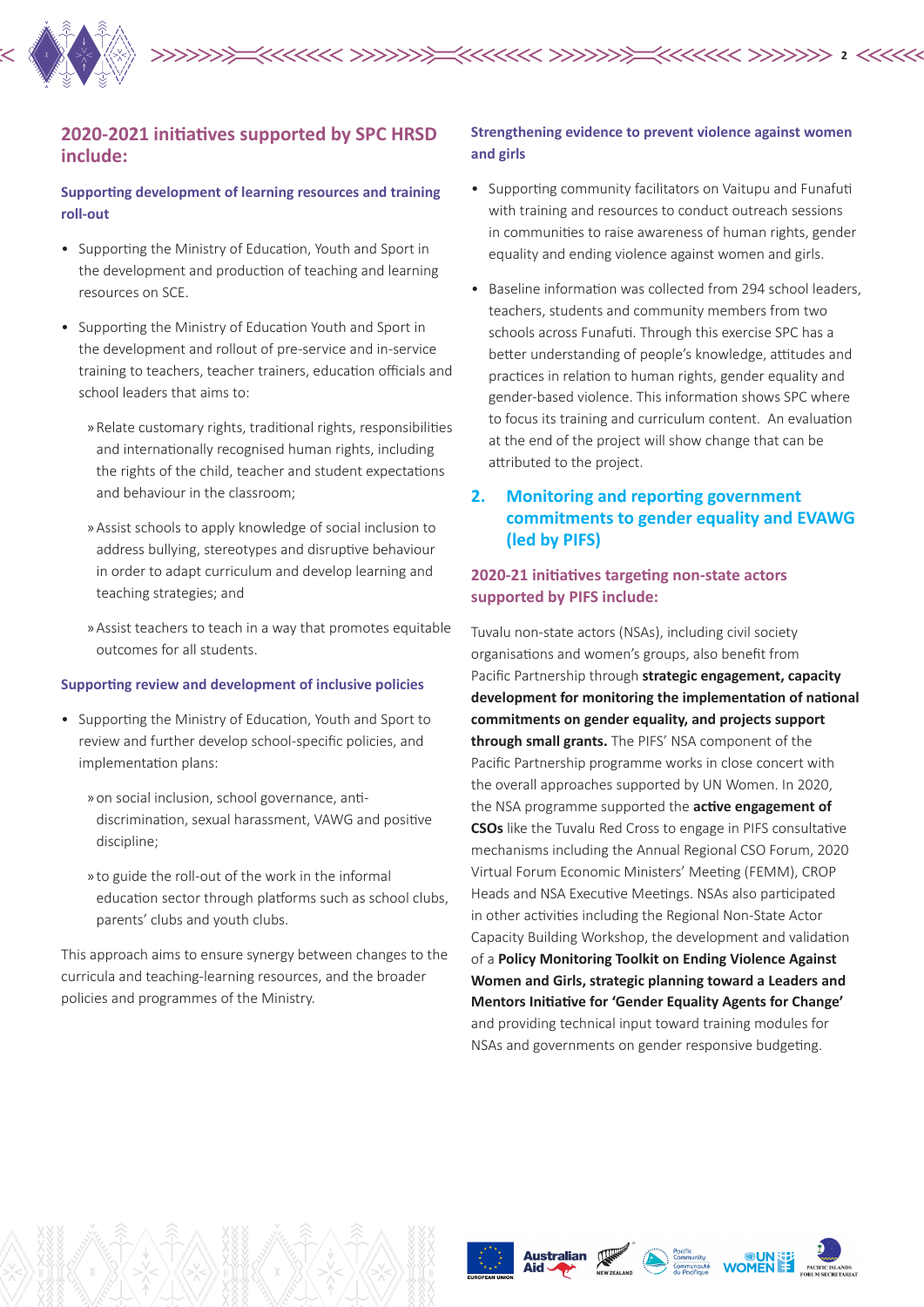

#### **2020-2021 initiatives supported by SPC HRSD include:**

#### **Supporting development of learning resources and training roll-out**

- Supporting the Ministry of Education, Youth and Sport in the development and production of teaching and learning resources on SCE.
- Supporting the Ministry of Education Youth and Sport in the development and rollout of pre-service and in-service training to teachers, teacher trainers, education officials and school leaders that aims to:
	- » Relate customary rights, traditional rights, responsibilities and internationally recognised human rights, including the rights of the child, teacher and student expectations and behaviour in the classroom;
	- » Assist schools to apply knowledge of social inclusion to address bullying, stereotypes and disruptive behaviour in order to adapt curriculum and develop learning and teaching strategies; and
	- » Assist teachers to teach in a way that promotes equitable outcomes for all students.

#### **Supporting review and development of inclusive policies**

- Supporting the Ministry of Education, Youth and Sport to review and further develop school-specific policies, and implementation plans:
	- » on social inclusion, school governance, antidiscrimination, sexual harassment, VAWG and positive discipline;
	- » to guide the roll-out of the work in the informal education sector through platforms such as school clubs, parents' clubs and youth clubs.

This approach aims to ensure synergy between changes to the curricula and teaching-learning resources, and the broader policies and programmes of the Ministry.

#### **Strengthening evidence to prevent violence against women and girls**

- Supporting community facilitators on Vaitupu and Funafuti with training and resources to conduct outreach sessions in communities to raise awareness of human rights, gender equality and ending violence against women and girls.
- Baseline information was collected from 294 school leaders, teachers, students and community members from two schools across Funafuti. Through this exercise SPC has a better understanding of people's knowledge, attitudes and practices in relation to human rights, gender equality and gender-based violence. This information shows SPC where to focus its training and curriculum content. An evaluation at the end of the project will show change that can be attributed to the project.

### **2. Monitoring and reporting government commitments to gender equality and EVAWG (led by PIFS)**

#### **2020-21 initiatives targeting non-state actors supported by PIFS include:**

Tuvalu non-state actors (NSAs), including civil society organisations and women's groups, also benefit from Pacific Partnership through **strategic engagement, capacity development for monitoring the implementation of national commitments on gender equality, and projects support through small grants.** The PIFS' NSA component of the Pacific Partnership programme works in close concert with the overall approaches supported by UN Women. In 2020, the NSA programme supported the **active engagement of CSOs** like the Tuvalu Red Cross to engage in PIFS consultative mechanisms including the Annual Regional CSO Forum, 2020 Virtual Forum Economic Ministers' Meeting (FEMM), CROP Heads and NSA Executive Meetings. NSAs also participated in other activities including the Regional Non-State Actor Capacity Building Workshop, the development and validation of a **Policy Monitoring Toolkit on Ending Violence Against Women and Girls, strategic planning toward a Leaders and Mentors Initiative for 'Gender Equality Agents for Change'** and providing technical input toward training modules for NSAs and governments on gender responsive budgeting.